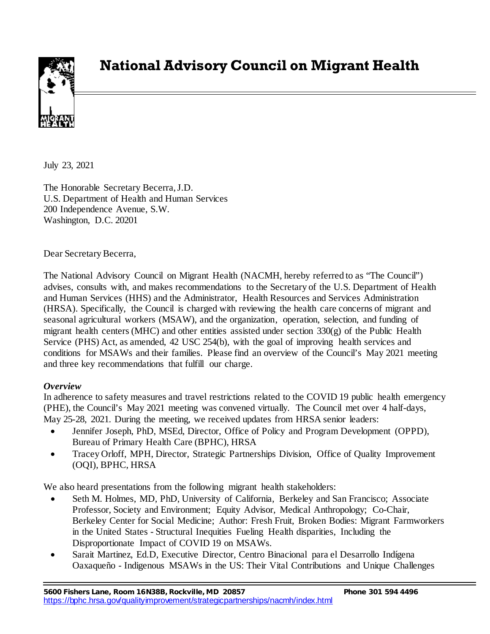**National Advisory Council on Migrant Health**



July 23, 2021

The Honorable Secretary Becerra, J.D. U.S. Department of Health and Human Services 200 Independence Avenue, S.W. Washington, D.C. 20201

Dear Secretary Becerra,

The National Advisory Council on Migrant Health (NACMH, hereby referred to as "The Council") advises, consults with, and makes recommendations to the Secretary of the U.S. Department of Health and Human Services (HHS) and the Administrator, Health Resources and Services Administration (HRSA). Specifically, the Council is charged with reviewing the health care concerns of migrant and seasonal agricultural workers (MSAW), and the organization, operation, selection, and funding of migrant health centers (MHC) and other entities assisted under section 330(g) of the Public Health Service (PHS) Act, as amended, 42 USC 254(b), with the goal of improving health services and conditions for MSAWs and their families. Please find an overview of the Council's May 2021 meeting and three key recommendations that fulfill our charge.

#### *Overview*

In adherence to safety measures and travel restrictions related to the COVID 19 public health emergency (PHE), the Council's May 2021 meeting was convened virtually. The Council met over 4 half-days, May 25-28, 2021. During the meeting, we received updates from HRSA senior leaders:

- Jennifer Joseph, PhD, MSEd, Director, Office of Policy and Program Development (OPPD), Bureau of Primary Health Care (BPHC), HRSA
- Tracey Orloff, MPH, Director, Strategic Partnerships Division, Office of Quality Improvement (OQI), BPHC, HRSA

We also heard presentations from the following migrant health stakeholders:

- Seth M. Holmes, MD, PhD, University of California, Berkeley and San Francisco; Associate Professor, Society and Environment; Equity Advisor, Medical Anthropology; Co-Chair, Berkeley Center for Social Medicine; Author: Fresh Fruit, Broken Bodies: Migrant Farmworkers in the United States - Structural Inequities Fueling Health disparities, Including the Disproportionate Impact of COVID 19 on MSAWs.
- Sarait Martinez, Ed.D, Executive Director, Centro Binacional para el Desarrollo Indígena Oaxaqueño - Indigenous MSAWs in the US: Their Vital Contributions and Unique Challenges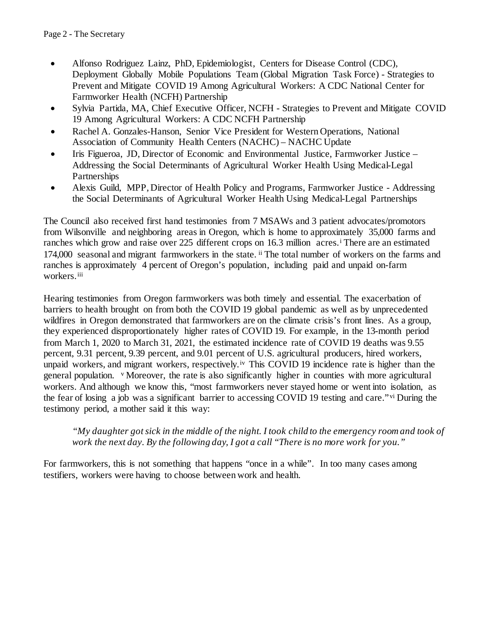- <span id="page-1-0"></span>• Alfonso Rodriguez Lainz, PhD, Epidemiologist, Centers for Disease Control (CDC), Deployment Globally Mobile Populations Team (Global Migration Task Force) - Strategies to Prevent and Mitigate COVID 19 Among Agricultural Workers: A CDC National Center for Farmworker Health (NCFH) Partnership
- <span id="page-1-2"></span><span id="page-1-1"></span>• Sylvia Partida, MA, Chief Executive Officer, NCFH - Strategies to Prevent and Mitigate COVID 19 Among Agricultural Workers: A CDC NCFH Partnership
- <span id="page-1-3"></span>• Rachel A. Gonzales-Hanson, Senior Vice President for Western Operations, National Association of Community Health Centers (NACHC) – NACHC Update
- <span id="page-1-5"></span><span id="page-1-4"></span>• Iris Figueroa, JD, Director of Economic and Environmental Justice, Farmworker Justice – Addressing the Social Determinants of Agricultural Worker Health Using Medical-Legal Partnerships
- <span id="page-1-6"></span>• Alexis Guild, MPP, Director of Health Policy and Programs, Farmworker Justice - Addressing the Social Determinants of Agricultural Worker Health Using Medical-Legal Partnerships

<span id="page-1-11"></span><span id="page-1-10"></span><span id="page-1-9"></span><span id="page-1-8"></span><span id="page-1-7"></span>The Council also received first hand testimonies from 7 MSAWs and 3 patient advocates/promotors from Wilsonville and neighboring areas in Oregon, which is home to approximately 35,000 farms and ranches which grow and raise over 225 different crops on 16.3 million acres.[i](#page-1-0) There are an estimated 174,000 seasonal and migrant farmworkers in the state. [ii](#page-1-1) The total number of workers on the farms and ranches is approximately 4 percent of Oregon's population, including paid and unpaid on-farm workers.<sup>[iii](#page-1-2)</sup>

<span id="page-1-18"></span><span id="page-1-17"></span><span id="page-1-16"></span><span id="page-1-15"></span><span id="page-1-14"></span><span id="page-1-13"></span><span id="page-1-12"></span>Hearing testimonies from Oregon farmworkers was both timely and essential. The exacerbation of barriers to health brought on from both the COVID 19 global pandemic as well as by unprecedented wildfires in Oregon demonstrated that farmworkers are on the climate crisis's front lines. As a group, they experienced disproportionately higher rates of COVID 19. For example, in the 13-month period from March 1, 2020 to March 31, 2021, the estimated incidence rate of COVID 19 deaths was 9.55 percent, 9.31 percent, 9.39 percent, and 9.01 percent of U.S. agricultural producers, hired workers, unpaid workers, and migrant workers, respect[iv](#page-1-3)ely.<sup>iv</sup> This COVID 19 incidence rate is higher than the general population. [v](#page-1-4) Moreover, the rate is also significantly higher in counties with more agricultural workers. And although we know this, "most farmworkers never stayed home or went into isolation, as the fear of losing a job was a significant barrier to accessing COVID 19 testing and care." [vi](#page-1-5) During the testimony period, a mother said it this way:

<span id="page-1-20"></span><span id="page-1-19"></span>*"My daughter got sick in the middle of the night. I took child to the emergency room and took of work the next day. By the following day, I got a call "There is no more work for you."* 

<span id="page-1-33"></span><span id="page-1-32"></span><span id="page-1-31"></span><span id="page-1-30"></span><span id="page-1-29"></span><span id="page-1-28"></span><span id="page-1-27"></span><span id="page-1-26"></span><span id="page-1-25"></span><span id="page-1-24"></span><span id="page-1-23"></span><span id="page-1-22"></span><span id="page-1-21"></span>For farmworkers, this is not something that happens "once in a while". In too many cases among testifiers, workers were having to choose between work and health.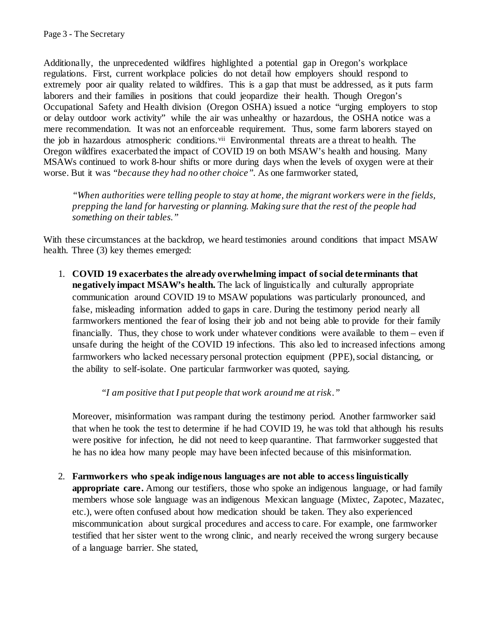Additionally, the unprecedented wildfires highlighted a potential gap in Oregon's workplace regulations. First, current workplace policies do not detail how employers should respond to extremely poor air quality related to wildfires. This is a gap that must be addressed, as it puts farm laborers and their families in positions that could jeopardize their health. Though Oregon's Occupational Safety and Health division (Oregon OSHA) issued a notice "urging employers to stop or delay outdoor work activity" while the air was unhealthy or hazardous, the OSHA notice was a mere recommendation. It was not an enforceable requirement. Thus, some farm laborers stayed on the job in hazardous atmospheric conditions.<sup>[vii](#page-1-6)</sup> Environmental threats are a threat to health. The Oregon wildfires exacerbated the impact of COVID 19 on both MSAW's health and housing. Many MSAWs continued to work 8-hour shifts or more during days when the levels of oxygen were at their worse. But it was *"because they had no other choice".* As one farmworker stated,

*"When authorities were telling people to stay at home, the migrant workers were in the fields, prepping the land for harvesting or planning. Making sure that the rest of the people had something on their tables."*

With these circumstances at the backdrop, we heard testimonies around conditions that impact MSAW health. Three (3) key themes emerged:

1. **COVID 19 exacerbates the already overwhelming impact of social determinants that negatively impact MSAW's health.** The lack of linguistically and culturally appropriate communication around COVID 19 to MSAW populations was particularly pronounced, and false, misleading information added to gaps in care. During the testimony period nearly all farmworkers mentioned the fear of losing their job and not being able to provide for their family financially. Thus, they chose to work under whatever conditions were available to them – even if unsafe during the height of the COVID 19 infections. This also led to increased infections among farmworkers who lacked necessary personal protection equipment (PPE), social distancing, or the ability to self-isolate. One particular farmworker was quoted, saying.

*"I am positive that I put people that work around me at risk."* 

Moreover, misinformation was rampant during the testimony period. Another farmworker said that when he took the test to determine if he had COVID 19, he was told that although his results were positive for infection, he did not need to keep quarantine. That farmworker suggested that he has no idea how many people may have been infected because of this misinformation.

2. **Farmworkers who speak indigenous languages are not able to access linguistically appropriate care.** Among our testifiers, those who spoke an indigenous language, or had family members whose sole language was an indigenous Mexican language (Mixtec, Zapotec, Mazatec, etc.), were often confused about how medication should be taken. They also experienced miscommunication about surgical procedures and access to care. For example, one farmworker testified that her sister went to the wrong clinic, and nearly received the wrong surgery because of a language barrier. She stated,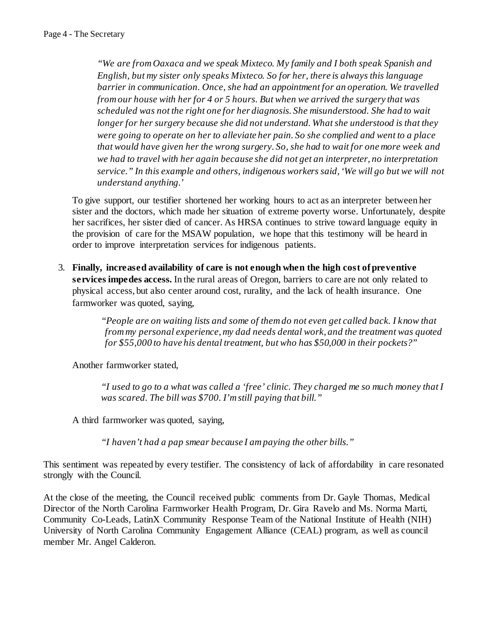*"We are from Oaxaca and we speak Mixteco. My family and I both speak Spanish and English, but my sister only speaks Mixteco. So for her, there is always this language barrier in communication. Once, she had an appointment for an operation. We travelled from our house with her for 4 or 5 hours. But when we arrived the surgery that was scheduled was not the right one for her diagnosis. She misunderstood. She had to wait longer for her surgery because she did not understand. What she understood is that they were going to operate on her to alleviate her pain. So she complied and went to a place that would have given her the wrong surgery. So, she had to wait for one more week and we had to travel with her again because she did not get an interpreter, no interpretation service." In this example and others, indigenous workers said, 'We will go but we will not understand anything.'* 

To give support, our testifier shortened her working hours to act as an interpreter between her sister and the doctors, which made her situation of extreme poverty worse. Unfortunately, despite her sacrifices, her sister died of cancer. As HRSA continues to strive toward language equity in the provision of care for the MSAW population, we hope that this testimony will be heard in order to improve interpretation services for indigenous patients.

3. **Finally, increased availability of care is not enough when the high cost of preventive services impedes access.** In the rural areas of Oregon, barriers to care are not only related to physical access, but also center around cost, rurality, and the lack of health insurance. One farmworker was quoted, saying,

> *"People are on waiting lists and some of them do not even get called back. I know that from my personal experience, my dad needs dental work, and the treatment was quoted for \$55,000 to have his dental treatment, but who has \$50,000 in their pockets?"*

Another farmworker stated,

*"I used to go to a what was called a 'free' clinic. They charged me so much money that I was scared. The bill was \$700. I'm still paying that bill."*

A third farmworker was quoted, saying,

*"I haven't had a pap smear because I am paying the other bills."*

This sentiment was repeated by every testifier. The consistency of lack of affordability in care resonated strongly with the Council.

At the close of the meeting, the Council received public comments from Dr. Gayle Thomas, Medical Director of the North Carolina Farmworker Health Program, Dr. Gira Ravelo and Ms. Norma Marti, Community Co-Leads, LatinX Community Response Team of the National Institute of Health (NIH) University of North Carolina Community Engagement Alliance (CEAL) program, as well as council member Mr. Angel Calderon.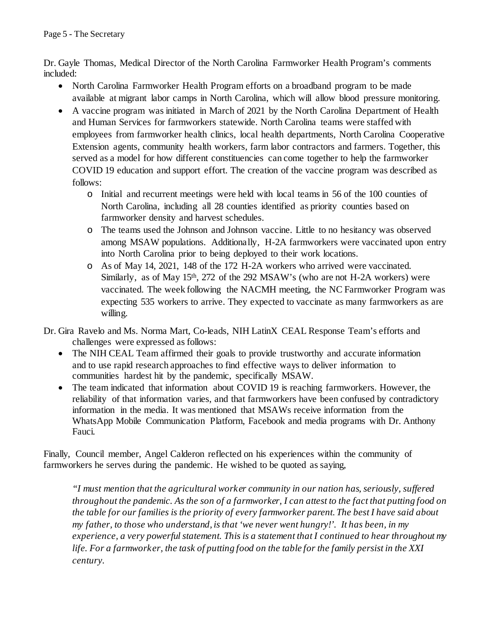Dr. Gayle Thomas, Medical Director of the North Carolina Farmworker Health Program's comments included:

- North Carolina Farmworker Health Program efforts on a broadband program to be made available at migrant labor camps in North Carolina, which will allow blood pressure monitoring.
- A vaccine program was initiated in March of 2021 by the North Carolina Department of Health and Human Services for farmworkers statewide. North Carolina teams were staffed with employees from farmworker health clinics, local health departments, North Carolina Cooperative Extension agents, community health workers, farm labor contractors and farmers. Together, this served as a model for how different constituencies can come together to help the farmworker COVID 19 education and support effort. The creation of the vaccine program was described as follows:
	- o Initial and recurrent meetings were held with local teams in 56 of the 100 counties of North Carolina, including all 28 counties identified as priority counties based on farmworker density and harvest schedules.
	- o The teams used the Johnson and Johnson vaccine. Little to no hesitancy was observed among MSAW populations. Additionally, H-2A farmworkers were vaccinated upon entry into North Carolina prior to being deployed to their work locations.
	- o As of May 14, 2021, 148 of the 172 H-2A workers who arrived were vaccinated. Similarly, as of May 15<sup>th</sup>, 272 of the 292 MSAW's (who are not H-2A workers) were vaccinated. The week following the NACMH meeting, the NC Farmworker Program was expecting 535 workers to arrive. They expected to vaccinate as many farmworkers as are willing.

Dr. Gira Ravelo and Ms. Norma Mart, Co-leads, NIH LatinX CEAL Response Team's efforts and challenges were expressed as follows:

- The NIH CEAL Team affirmed their goals to provide trustworthy and accurate information and to use rapid research approaches to find effective ways to deliver information to communities hardest hit by the pandemic, specifically MSAW.
- The team indicated that information about COVID 19 is reaching farmworkers. However, the reliability of that information varies, and that farmworkers have been confused by contradictory information in the media. It was mentioned that MSAWs receive information from the WhatsApp Mobile Communication Platform, Facebook and media programs with Dr. Anthony Fauci.

Finally, Council member, Angel Calderon reflected on his experiences within the community of farmworkers he serves during the pandemic. He wished to be quoted as saying,

*"I must mention that the agricultural worker community in our nation has, seriously, suffered throughout the pandemic. As the son of a farmworker, I can attest to the fact that putting food on the table for our families is the priority of every farmworker parent. The best I have said about my father, to those who understand, is that 'we never went hungry!'. It has been, in my experience, a very powerful statement. This is a statement that I continued to hear throughout my life. For a farmworker, the task of putting food on the table for the family persist in the XXI century.*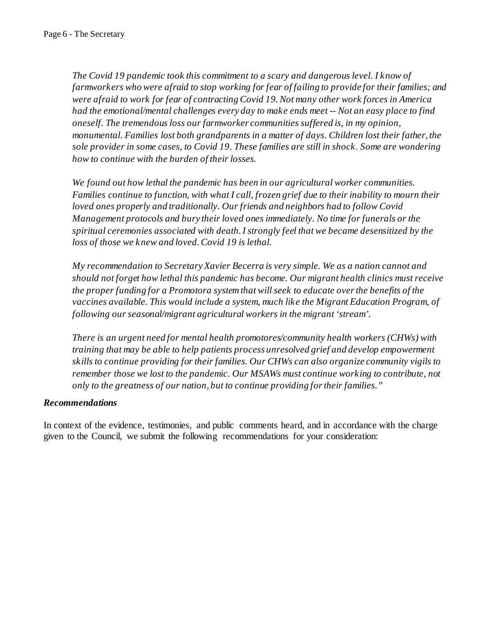*The Covid 19 pandemic took this commitment to a scary and dangerous level. I know of farmworkers who were afraid to stop working for fear of failing to provide for their families; and were afraid to work for fear of contracting Covid 19. Not many other work forces in America had the emotional/mental challenges every day to make ends meet -- Not an easy place to find oneself. The tremendous loss our farmworker communities suffered is, in my opinion, monumental. Families lost both grandparents in a matter of days. Children lost their father, the sole provider in some cases, to Covid 19. These families are still in shock. Some are wondering how to continue with the burden of their losses.*

*We found out how lethal the pandemic has been in our agricultural worker communities. Families continue to function, with what I call, frozen grief due to their inability to mourn their loved ones properly and traditionally. Our friends and neighbors had to follow Covid Management protocols and bury their loved ones immediately. No time for funerals or the spiritual ceremonies associated with death. I strongly feel that we became desensitized by the loss of those we knew and loved. Covid 19 is lethal.* 

*My recommendation to Secretary Xavier Becerra is very simple. We as a nation cannot and should not forget how lethal this pandemic has become. Our migrant health clinics must receive the proper funding for a Promotora system that will seek to educate over the benefits of the*  vaccines available. This would include a system, much like the Migrant Education Program, of *following our seasonal/migrant agricultural workers in the migrant 'stream'.* 

*There is an urgent need for mental health promotores/community health workers (CHWs) with training that may be able to help patients process unresolved grief and develop empowerment skills to continue providing for their families. Our CHWs can also organize community vigils to remember those we lost to the pandemic. Our MSAWs must continue working to contribute, not only to the greatness of our nation, but to continue providing for their families."*

#### *Recommendations*

In context of the evidence, testimonies, and public comments heard, and in accordance with the charge given to the Council, we submit the following recommendations for your consideration: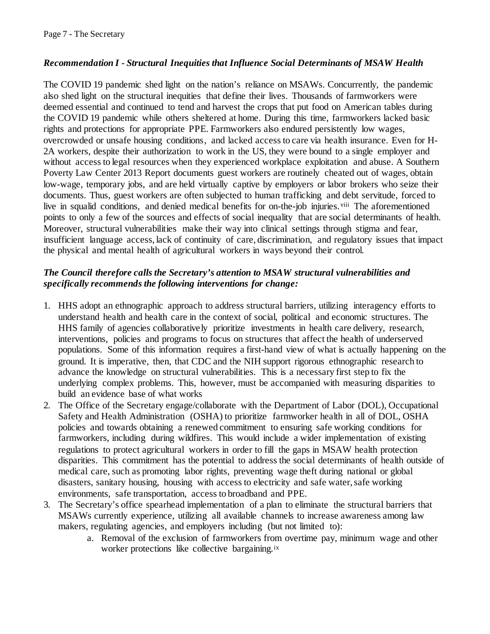# *Recommendation I - Structural Inequities that Influence Social Determinants of MSAW Health*

The COVID 19 pandemic shed light on the nation's reliance on MSAWs. Concurrently, the pandemic also shed light on the structural inequities that define their lives. Thousands of farmworkers were deemed essential and continued to tend and harvest the crops that put food on American tables during the COVID 19 pandemic while others sheltered at home. During this time, farmworkers lacked basic rights and protections for appropriate PPE. Farmworkers also endured persistently low wages, overcrowded or unsafe housing conditions, and lacked access to care via health insurance. Even for H-2A workers, despite their authorization to work in the US, they were bound to a single employer and without access to legal resources when they experienced workplace exploitation and abuse. A Southern Poverty Law Center 2013 Report documents guest workers are routinely cheated out of wages, obtain low-wage, temporary jobs, and are held virtually captive by employers or labor brokers who seize their documents. Thus, guest workers are often subjected to human trafficking and debt servitude, forced to live in squalid conditions, and denied medical benefits for on-the-job injuries. [viii](#page-1-7) The aforementioned points to only a few of the sources and effects of social inequality that are social determinants of health. Moreover, structural vulnerabilities make their way into clinical settings through stigma and fear, insufficient language access, lack of continuity of care, discrimination, and regulatory issues that impact the physical and mental health of agricultural workers in ways beyond their control.

# *The Council therefore calls the Secretary's attention to MSAW structural vulnerabilities and specifically recommends the following interventions for change:*

- 1. HHS adopt an ethnographic approach to address structural barriers, utilizing interagency efforts to understand health and health care in the context of social, political and economic structures. The HHS family of agencies collaboratively prioritize investments in health care delivery, research, interventions, policies and programs to focus on structures that affect the health of underserved populations. Some of this information requires a first-hand view of what is actually happening on the ground. It is imperative, then, that CDC and the NIH support rigorous ethnographic research to advance the knowledge on structural vulnerabilities. This is a necessary first step to fix the underlying complex problems. This, however, must be accompanied with measuring disparities to build an evidence base of what works
- 2. The Office of the Secretary engage/collaborate with the Department of Labor (DOL), Occupational Safety and Health Administration (OSHA) to prioritize farmworker health in all of DOL, OSHA policies and towards obtaining a renewed commitment to ensuring safe working conditions for farmworkers, including during wildfires. This would include a wider implementation of existing regulations to protect agricultural workers in order to fill the gaps in MSAW health protection disparities. This commitment has the potential to address the social determinants of health outside of medical care, such as promoting labor rights, preventing wage theft during national or global disasters, sanitary housing, housing with access to electricity and safe water, safe working environments, safe transportation, access to broadband and PPE.
- 3. The Secretary's office spearhead implementation of a plan to eliminate the structural barriers that MSAWs currently experience, utilizing all available channels to increase awareness among law makers, regulating agencies, and employers including (but not limited to):
	- a. Removal of the exclusion of farmworkers from overtime pay, minimum wage and other worker protections like collective bargaining.<sup>[ix](#page-1-8)</sup>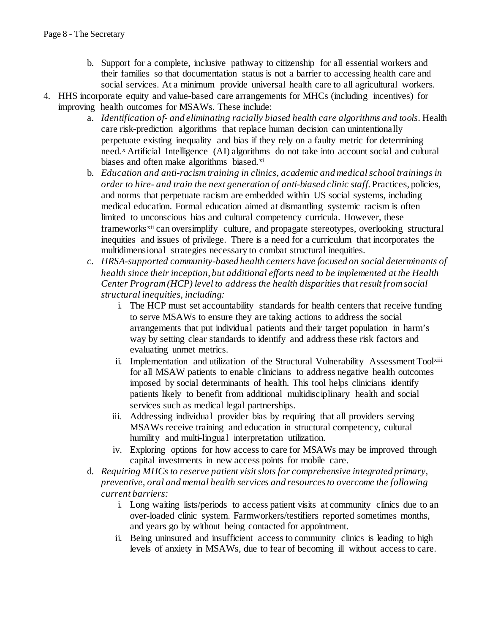- b. Support for a complete, inclusive pathway to citizenship for all essential workers and their families so that documentation status is not a barrier to accessing health care and social services. At a minimum provide universal health care to all agricultural workers.
- 4. HHS incorporate equity and value-based care arrangements for MHCs (including incentives) for improving health outcomes for MSAWs. These include:
	- a. *Identification of- and eliminating racially biased health care algorithms and tools*. Health care risk-prediction algorithms that replace human decision can unintentionally perpetuate existing inequality and bias if they rely on a faulty metric for determining need. [x](#page-1-9) Artificial Intelligence (AI) algorithms do not take into account social and cultural biases and often make algorithms biased.<sup>[xi](#page-1-10)</sup>
	- b. *Education and anti-racism training in clinics, academic and medical school trainings in order to hire- and train the next generation of anti-biased clinic staff*. Practices, policies, and norms that perpetuate racism are embedded within US social systems, including medical education. Formal education aimed at dismantling systemic racism is often limited to unconscious bias and cultural competency curricula. However, these frameworks<sup>[xii](#page-1-11)</sup> can oversimplify culture, and propagate stereotypes, overlooking structural inequities and issues of privilege. There is a need for a curriculum that incorporates the multidimensional strategies necessary to combat structural inequities.
	- *c. HRSA-supported community-based health centers have focused on social determinants of health since their inception, but additional efforts need to be implemented at the Health Center Program (HCP) level to address the health disparities that result from social structural inequities, including:*
		- i. The HCP must set accountability standards for health centers that receive funding to serve MSAWs to ensure they are taking actions to address the social arrangements that put individual patients and their target population in harm's way by setting clear standards to identify and address these risk factors and evaluating unmet metrics.
		- ii. Implementation and utilization of the Structural Vulnerability Assessment Too[lxiii](#page-1-12) for all MSAW patients to enable clinicians to address negative health outcomes imposed by social determinants of health. This tool helps clinicians identify patients likely to benefit from additional multidisciplinary health and social services such as medical legal partnerships.
		- iii. Addressing individual provider bias by requiring that all providers serving MSAWs receive training and education in structural competency, cultural humility and multi-lingual interpretation utilization.
		- iv. Exploring options for how access to care for MSAWs may be improved through capital investments in new access points for mobile care.
	- d. *Requiring MHCs to reserve patient visit slots for comprehensive integrated primary, preventive, oral and mental health services and resources to overcome the following current barriers:*
		- i. Long waiting lists/periods to access patient visits at community clinics due to an over-loaded clinic system. Farmworkers/testifiers reported sometimes months, and years go by without being contacted for appointment.
		- ii. Being uninsured and insufficient access to community clinics is leading to high levels of anxiety in MSAWs, due to fear of becoming ill without access to care.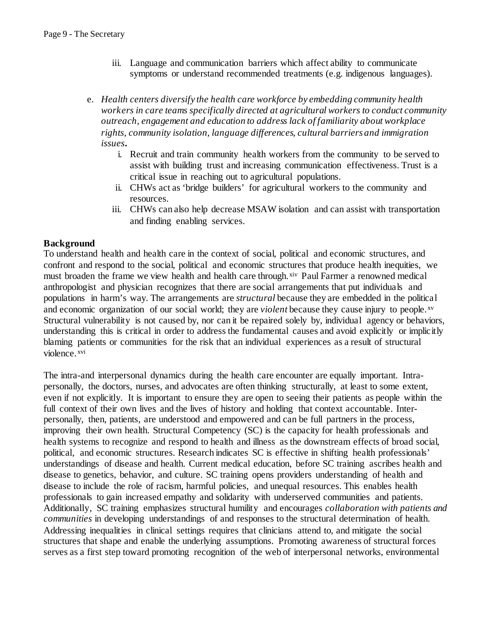- iii. Language and communication barriers which affect ability to communicate symptoms or understand recommended treatments (e.g. indigenous languages).
- e. *Health centers diversify the health care workforce by embedding community health workers in care teams specifically directed at agricultural workers to conduct community outreach, engagement and education to address lack of familiarity about workplace rights, community isolation, language differences, cultural barriers and immigration issues***.** 
	- i. Recruit and train community health workers from the community to be served to assist with building trust and increasing communication effectiveness. Trust is a critical issue in reaching out to agricultural populations.
	- ii. CHWs act as 'bridge builders' for agricultural workers to the community and resources.
	- iii. CHWs can also help decrease MSAW isolation and can assist with transportation and finding enabling services.

### **Background**

To understand health and health care in the context of social, political and economic structures, and confront and respond to the social, political and economic structures that produce health inequities, we must broaden the frame we view health and health care through.<sup>[xiv](#page-1-13)</sup> Paul Farmer a renowned medical anthropologist and physician recognizes that there are social arrangements that put individuals and populations in harm's way. The arrangements are *structural* because they are embedded in the political and economic organization of our social world; they are *violent* because they cause injury to people.<sup>[xv](#page-1-14)</sup> Structural vulnerability is not caused by, nor can it be repaired solely by, individual agency or behaviors, understanding this is critical in order to address the fundamental causes and avoid explicitly or implicitly blaming patients or communities for the risk that an individual experiences as a result of structural violence.[xvi](#page-1-15)

The intra-and interpersonal dynamics during the health care encounter are equally important. Intrapersonally, the doctors, nurses, and advocates are often thinking structurally, at least to some extent, even if not explicitly. It is important to ensure they are open to seeing their patients as people within the full context of their own lives and the lives of history and holding that context accountable. Interpersonally, then, patients, are understood and empowered and can be full partners in the process, improving their own health. Structural Competency (SC) is the capacity for health professionals and health systems to recognize and respond to health and illness as the downstream effects of broad social, political, and economic structures. Research indicates SC is effective in shifting health professionals' understandings of disease and health. Current medical education, before SC training ascribes health and disease to genetics, behavior, and culture. SC training opens providers understanding of health and disease to include the role of racism, harmful policies, and unequal resources. This enables health professionals to gain increased empathy and solidarity with underserved communities and patients. Additionally, SC training emphasizes structural humility and encourages *collaboration with patients and communities* in developing understandings of and responses to the structural determination of health. Addressing inequalities in clinical settings requires that clinicians attend to, and mitigate the social structures that shape and enable the underlying assumptions. Promoting awareness of structural forces serves as a first step toward promoting recognition of the web of interpersonal networks, environmental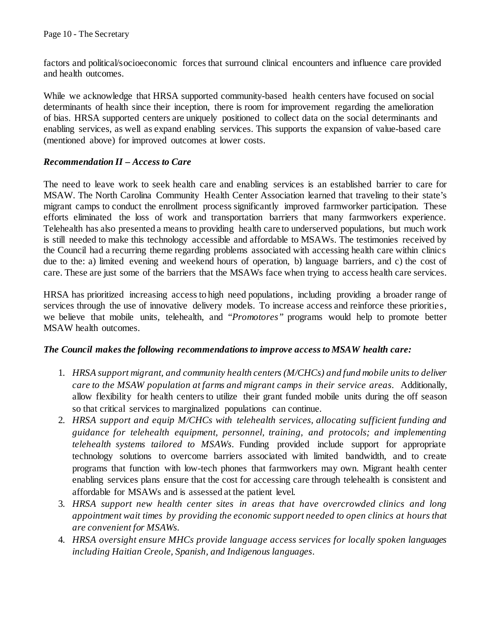factors and political/socioeconomic forces that surround clinical encounters and influence care provided and health outcomes.

While we acknowledge that HRSA supported community-based health centers have focused on social determinants of health since their inception, there is room for improvement regarding the amelioration of bias. HRSA supported centers are uniquely positioned to collect data on the social determinants and enabling services, as well as expand enabling services. This supports the expansion of value-based care (mentioned above) for improved outcomes at lower costs.

# *Recommendation II – Access to Care*

The need to leave work to seek health care and enabling services is an established barrier to care for MSAW. The North Carolina Community Health Center Association learned that traveling to their state's migrant camps to conduct the enrollment process significantly improved farmworker participation. These efforts eliminated the loss of work and transportation barriers that many farmworkers experience. Telehealth has also presented a means to providing health care to underserved populations, but much work is still needed to make this technology accessible and affordable to MSAWs. The testimonies received by the Council had a recurring theme regarding problems associated with accessing health care within clinics due to the: a) limited evening and weekend hours of operation, b) language barriers, and c) the cost of care. These are just some of the barriers that the MSAWs face when trying to access health care services.

HRSA has prioritized increasing access to high need populations, including providing a broader range of services through the use of innovative delivery models. To increase access and reinforce these priorities, we believe that mobile units, telehealth, and *"Promotores"* programs would help to promote better MSAW health outcomes.

#### *The Council makes the following recommendations to improve access to MSAW health care:*

- 1. *HRSA support migrant, and community health centers (M/CHCs) and fund mobile units to deliver care to the MSAW population at farms and migrant camps in their service areas*. Additionally, allow flexibility for health centers to utilize their grant funded mobile units during the off season so that critical services to marginalized populations can continue.
- 2. *HRSA support and equip M/CHCs with telehealth services, allocating sufficient funding and guidance for telehealth equipment, personnel, training, and protocols; and implementing telehealth systems tailored to MSAWs*. Funding provided include support for appropriate technology solutions to overcome barriers associated with limited bandwidth, and to create programs that function with low-tech phones that farmworkers may own. Migrant health center enabling services plans ensure that the cost for accessing care through telehealth is consistent and affordable for MSAWs and is assessed at the patient level.
- 3. *HRSA support new health center sites in areas that have overcrowded clinics and long appointment wait times by providing the economic support needed to open clinics at hours that are convenient for MSAWs.*
- 4. *HRSA oversight ensure MHCs provide language access services for locally spoken languages including Haitian Creole, Spanish, and Indigenous languages*.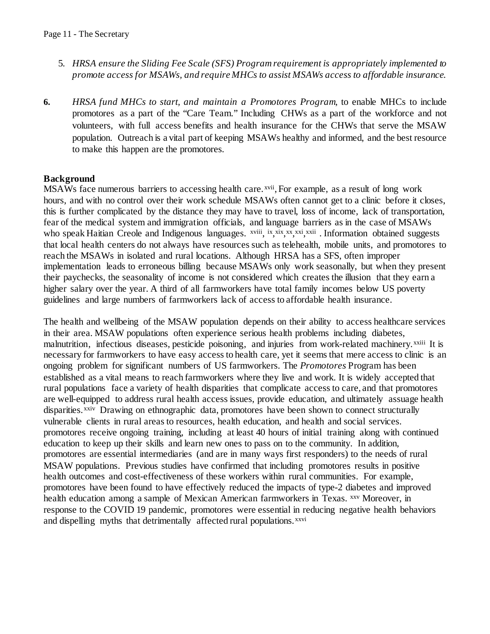- 5. *HRSA ensure the Sliding Fee Scale (SFS) Program requirement is appropriately implemented to promote access for MSAWs, and require MHCs to assist MSAWs access to affordable insurance*.
- **6.** *HRSA fund MHCs to start, and maintain a Promotores Program*, to enable MHCs to include promotores as a part of the "Care Team." Including CHWs as a part of the workforce and not volunteers, with full access benefits and health insurance for the CHWs that serve the MSAW population. Outreach is a vital part of keeping MSAWs healthy and informed, and the best resource to make this happen are the promotores*.*

#### **Background**

MSAWs face numerous barriers to accessing health care.<sup>[xvii](#page-1-16)</sup>, For example, as a result of long work who speak Haitian Creole and Indigenous languages. *xviii*[,](#page-1-17) *ix, [xix](#page-1-18), [xxi](#page-1-20), [xxii](#page-1-21)* . Information obtained suggests hours, and with no control over their work schedule MSAWs often cannot get to a clinic before it closes. this is further complicated by the distance they may have to travel, loss of income, lack of transportation, fear of the medical system and immigration officials, and language barriers as in the case of MSAWs that local health centers do not always have resources such as telehealth, mobile units, and promotores to reach the MSAWs in isolated and rural locations. Although HRSA has a SFS, often improper implementation leads to erroneous billing because MSAWs only work seasonally, but when they present their paychecks, the seasonality of income is not considered which creates the illusion that they earn a higher salary over the year. A third of all farmworkers have total family incomes below US poverty guidelines and large numbers of farmworkers lack of access to affordable health insurance.

The health and wellbeing of the MSAW population depends on their ability to access healthcare services in their area. MSAW populations often experience serious health problems including diabetes, malnutrition, infectious diseases, pesticide poisoning, and injuries from work-related machinery.<sup>xxiii</sup> It is necessary for farmworkers to have easy access to health care, yet it seems that mere access to clinic is an ongoing problem for significant numbers of US farmworkers. The *Promotores* Program has been established as a vital means to reach farmworkers where they live and work. It is widely accepted that rural populations face a variety of health disparities that complicate access to care, and that promotores are well-equipped to address rural health access issues, provide education, and ultimately assuage health disparities.<sup>[xxiv](#page-1-22)</sup> Drawing on ethnographic data, promotores have been shown to connect structurally vulnerable clients in rural areas to resources, health education, and health and social services. promotores receive ongoing training, including at least 40 hours of initial training along with continued education to keep up their skills and learn new ones to pass on to the community. In addition, promotores are essential intermediaries (and are in many ways first responders) to the needs of rural MSAW populations. Previous studies have confirmed that including promotores results in positive health outcomes and cost-effectiveness of these workers within rural communities. For example, promotores have been found to have effectively reduced the impacts of type-2 diabetes and improved health education among a sample of Mexican American farmworkers in Texas. [xxv](#page-1-23) Moreover, in response to the COVID 19 pandemic, promotores were essential in reducing negative health behaviors and dispelling myths that detrimentally affected rural populations.<sup>[xxvi](#page-1-24)</sup>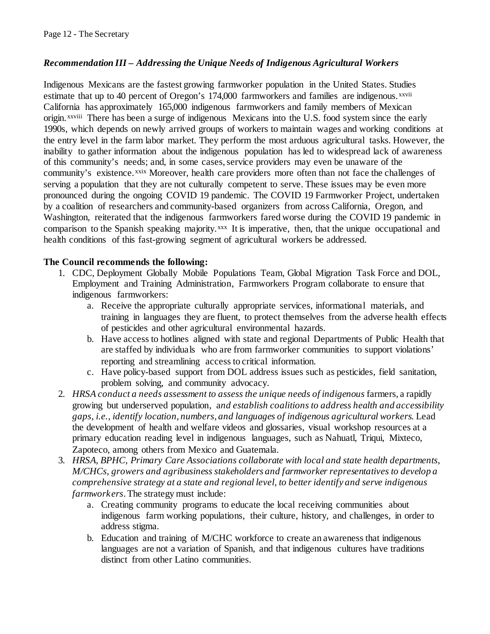# *Recommendation III – Addressing the Unique Needs of Indigenous Agricultural Workers*

Indigenous Mexicans are the fastest growing farmworker population in the United States. Studie[s](#page-1-25) estimate that up to 40 percent of Oregon's 174,000 farmworkers and families are indigenous.<sup>xxvii</sup> origin. XXViii There has been a surge of indigenous Mexicans into the U.S. food system since the early Californiahas approximately 165,000 indigenous farmworkers and family members of Mexican 1990s, which depends on newly arrived groups of workers to maintain wages and working conditions at the entry level in the farm labor market. They perform the most arduous agricultural tasks. However, the inability to gather information about the indigenous population has led to widespread lack of awareness of this community's needs; and, in some cases, service providers may even be unaware of the community's existence.<sup>[xxix](#page-1-27)</sup> Moreover, health care providers more often than not face the challenges of serving a population that they are not culturally competent to serve. These issues may be even more pronounced during the ongoing COVID 19 pandemic. The COVID 19 Farmworker Project, undertaken by a coalition of researchers and community-based organizers from across California, Oregon, and Washington, reiterated that the indigenous farmworkers fared worse during the COVID 19 pandemic in comparison to the Spanish speaking majority.<sup>[xxx](#page-1-28)</sup> It is imperative, then, that the unique occupational and health conditions of this fast-growing segment of agricultural workers be addressed.

#### **The Council recommends the following:**

- 1. CDC, Deployment Globally Mobile Populations Team, Global Migration Task Force and DOL, Employment and Training Administration, Farmworkers Program collaborate to ensure that indigenous farmworkers:
	- a. Receive the appropriate culturally appropriate services, informational materials, and training in languages they are fluent, to protect themselves from the adverse health effects of pesticides and other agricultural environmental hazards.
	- b. Have access to hotlines aligned with state and regional Departments of Public Health that are staffed by individuals who are from farmworker communities to support violations' reporting and streamlining access to critical information.
	- c. Have policy-based support from DOL address issues such as pesticides, field sanitation, problem solving, and community advocacy.
- 2. *HRSA conduct a needs assessment to assess the unique needs of indigenous* farmers, a rapidly growing but underserved population, a*nd establish coalitions to address health and accessibility gaps, i.e., identify location, numbers, and languages of indigenous agricultural workers*. Lead the development of health and welfare videos and glossaries, visual workshop resources at a primary education reading level in indigenous languages, such as Nahuatl, Triqui, Mixteco, Zapoteco, among others from Mexico and Guatemala.
- 3. *HRSA, BPHC, Primary Care Associations collaborate with local and state health departments, M/CHCs, growers and agribusiness stakeholders and farmworker representatives to develop a comprehensive strategy at a state and regional level, to better identify and serve indigenous farmworkers*. The strategy must include:
	- a. Creating community programs to educate the local receiving communities about indigenous farm working populations, their culture, history, and challenges, in order to address stigma.
	- b. Education and training of M/CHC workforce to create an awareness that indigenous languages are not a variation of Spanish, and that indigenous cultures have traditions distinct from other Latino communities.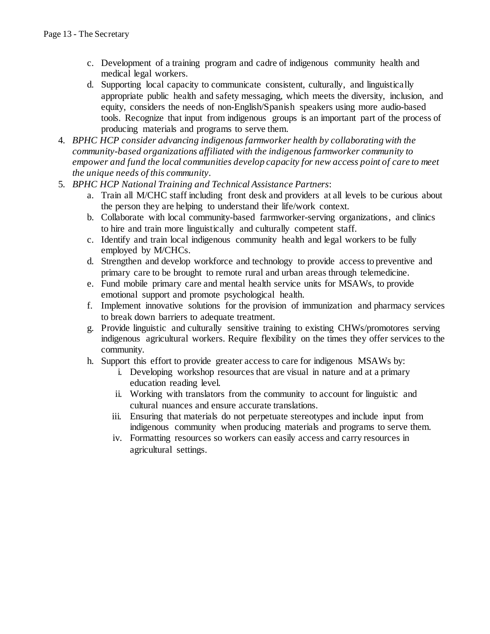- c. Development of a training program and cadre of indigenous community health and medical legal workers.
- d. Supporting local capacity to communicate consistent, culturally, and linguistically appropriate public health and safety messaging, which meets the diversity, inclusion, and equity, considers the needs of non-English/Spanish speakers using more audio-based tools. Recognize that input from indigenous groups is an important part of the process of producing materials and programs to serve them.
- 4. *BPHC HCP consider advancing indigenous farmworker health by collaborating with the community-based organizations affiliated with the indigenous farmworker community to empower and fund the local communities develop capacity for new access point of care to meet the unique needs of this community*.
- 5. *BPHC HCP National Training and Technical Assistance Partners*:
	- a. Train all M/CHC staff including front desk and providers at all levels to be curious about the person they are helping to understand their life/work context.
	- b. Collaborate with local community-based farmworker-serving organizations, and clinics to hire and train more linguistically and culturally competent staff.
	- c. Identify and train local indigenous community health and legal workers to be fully employed by M/CHCs.
	- d. Strengthen and develop workforce and technology to provide access to preventive and primary care to be brought to remote rural and urban areas through telemedicine.
	- e. Fund mobile primary care and mental health service units for MSAWs, to provide emotional support and promote psychological health.
	- f. Implement innovative solutions for the provision of immunization and pharmacy services to break down barriers to adequate treatment.
	- g. Provide linguistic and culturally sensitive training to existing CHWs/promotores serving indigenous agricultural workers. Require flexibility on the times they offer services to the community.
	- h. Support this effort to provide greater access to care for indigenous MSAWs by:
		- i. Developing workshop resources that are visual in nature and at a primary education reading level.
		- ii. Working with translators from the community to account for linguistic and cultural nuances and ensure accurate translations.
		- iii. Ensuring that materials do not perpetuate stereotypes and include input from indigenous community when producing materials and programs to serve them.
		- iv. Formatting resources so workers can easily access and carry resources in agricultural settings.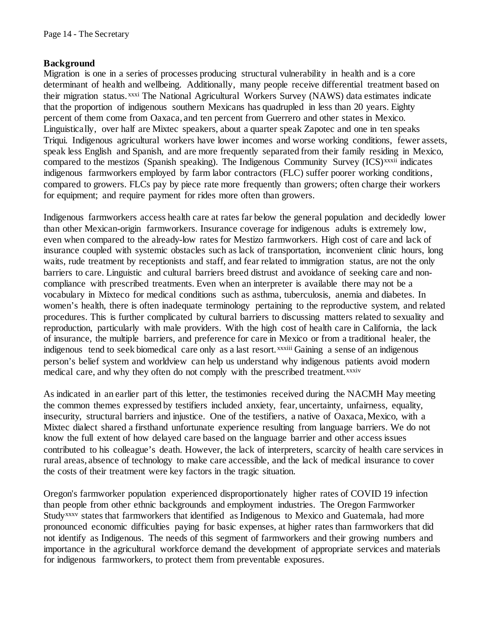### **Background**

Migration is one in a series of processes producing structural vulnerability in health and is a core determinant of health and wellbeing. Additionally, many people receive differential treatment based on their migration status.<sup>[xxxi](#page-1-29)</sup> The National Agricultural Workers Survey (NAWS) data estimates indicate compared to the mestizos (Spanish speaking). The Indigenous Community Survey (ICS)<sup>xxxii</sup> indicates that the proportion of indigenous southern Mexicans has quadrupled in less than 20 years. Eighty percent of them come from Oaxaca, and ten percent from Guerrero and other states in Mexico. Linguistically, over half are Mixtec speakers, about a quarter speak Zapotec and one in ten speaks Triqui. Indigenous agricultural workers have lower incomes and worse working conditions, fewer assets, speak less English and Spanish, and are more frequently separated from their family residin[g](#page-1-30) in Mexico, indigenous farmworkers employed by farm labor contractors (FLC) suffer poorer working conditions, compared to growers. FLCs pay by piece rate more frequently than growers; often charge their workers for equipment; and require payment for rides more often than growers.

Indigenous farmworkers access health care at rates far below the general population and decidedly lower than other Mexican-origin farmworkers. Insurance coverage for indigenous adults is extremely low, even when compared to the already-low rates for Mestizo farmworkers. High cost of care and lack of insurance coupled with systemic obstacles such as lack of transportation, inconvenient clinic hours, long waits, rude treatment by receptionists and staff, and fear related to immigration status, are not the only barriers to care. Linguistic and cultural barriers breed distrust and avoidance of seeking care and noncompliance with prescribed treatments. Even when an interpreter is available there may not be a vocabulary in Mixteco for medical conditions such as asthma, tuberculosis, anemia and diabetes. In women's health, there is often inadequate terminology pertaining to the reproductive system, and related procedures. This is further complicated by cultural barriers to discussing matters related to sexuality and reproduction, particularly with male providers. With the high cost of health care in California, the lack of insurance, the multiple barriers, and preference for care in Mexico or from a traditional healer, the indigenous tend to seek biomedical care only as a last resort.<sup>xxxiii</sup> [G](#page-1-31)aining a sense of an indigenous medical care, and why they often do not comply with the prescribed treatment.<sup>xxxiv</sup> person's belief system and worldview can help us understand why indigenous pati[en](#page-1-32)ts avoid modern

As indicated in an earlier part of this letter, the testimonies received during the NACMH May meeting the common themes expressed by testifiers included anxiety, fear, uncertainty, unfairness, equality, insecurity, structural barriers and injustice. One of the testifiers, a native of Oaxaca, Mexico, with a Mixtec dialect shared a firsthand unfortunate experience resulting from language barriers. We do not know the full extent of how delayed care based on the language barrier and other access issues contributed to his colleague's death. However, the lack of interpreters, scarcity of health care services in rural areas, absence of technology to make care accessible, and the lack of medical insurance to cover the costs of their treatment were key factors in the tragic situation.

Oregon's farmworker population experienced disproportionately higher rates of COVID 19 infection than people from other ethnic backgrounds and employment industries. The Oregon Farmworker Study<sup>[xxxv](#page-1-33)</sup> states that farmworkers that identified as Indigenous to Mexico and Guatemala, had more pronounced economic difficulties paying for basic expenses, at higher rates than farmworkers that did not identify as Indigenous. The needs of this segment of farmworkers and their growing numbers and importance in the agricultural workforce demand the development of appropriate services and materials for indigenous farmworkers, to protect them from preventable exposures.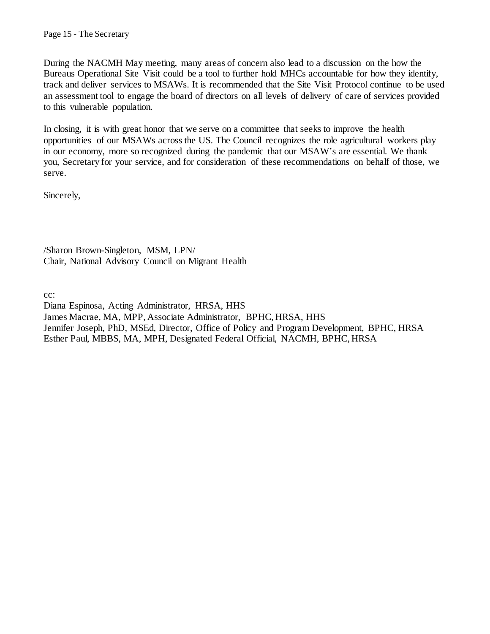During the NACMH May meeting, many areas of concern also lead to a discussion on the how the Bureaus Operational Site Visit could be a tool to further hold MHCs accountable for how they identify, track and deliver services to MSAWs. It is recommended that the Site Visit Protocol continue to be used an assessment tool to engage the board of directors on all levels of delivery of care of services provided to this vulnerable population.

In closing, it is with great honor that we serve on a committee that seeks to improve the health opportunities of our MSAWs across the US. The Council recognizes the role agricultural workers play in our economy, more so recognized during the pandemic that our MSAW's are essential. We thank you, Secretary for your service, and for consideration of these recommendations on behalf of those, we serve.

Sincerely,

/Sharon Brown-Singleton, MSM, LPN/ Chair, National Advisory Council on Migrant Health

cc:

Diana Espinosa, Acting Administrator, HRSA, HHS James Macrae, MA, MPP, Associate Administrator, BPHC, HRSA, HHS Jennifer Joseph, PhD, MSEd, Director, Office of Policy and Program Development, BPHC, HRSA Esther Paul, MBBS, MA, MPH, Designated Federal Official, NACMH, BPHC, HRSA